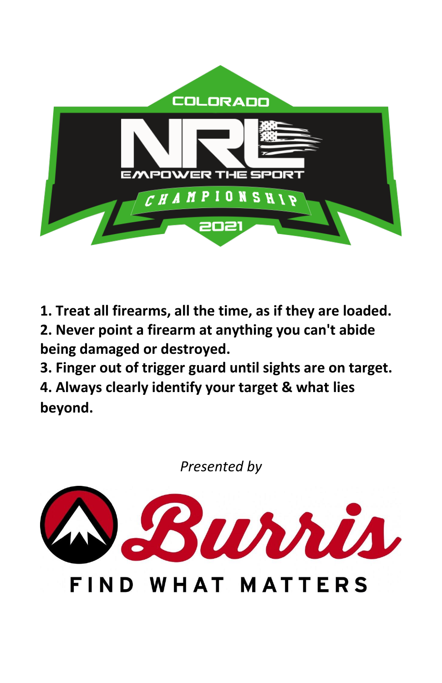

**1. Treat all firearms, all the time, as if they are loaded.**

**2. Never point a firearm at anything you can't abide being damaged or destroyed.**

**3. Finger out of trigger guard until sights are on target. 4. Always clearly identify your target & what lies beyond.**

*Presented by*



FIND WHAT MATTERS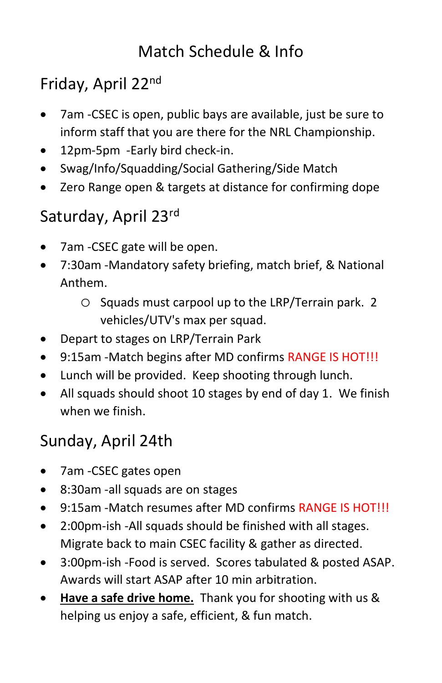# Match Schedule & Info

# Friday, April 22nd

- 7am -CSEC is open, public bays are available, just be sure to inform staff that you are there for the NRL Championship.
- 12pm-5pm -Early bird check-in.
- Swag/Info/Squadding/Social Gathering/Side Match
- Zero Range open & targets at distance for confirming dope

# Saturday, April 23rd

- 7am -CSEC gate will be open.
- 7:30am -Mandatory safety briefing, match brief, & National Anthem.
	- o Squads must carpool up to the LRP/Terrain park. 2 vehicles/UTV's max per squad.
- Depart to stages on LRP/Terrain Park
- 9:15am -Match begins after MD confirms RANGE IS HOT!!!
- Lunch will be provided. Keep shooting through lunch.
- All squads should shoot 10 stages by end of day 1. We finish when we finish.

# Sunday, April 24th

- 7am -CSEC gates open
- 8:30am -all squads are on stages
- 9:15am -Match resumes after MD confirms RANGE IS HOT!!!
- 2:00pm-ish -All squads should be finished with all stages. Migrate back to main CSEC facility & gather as directed.
- 3:00pm-ish -Food is served. Scores tabulated & posted ASAP. Awards will start ASAP after 10 min arbitration.
- **Have a safe drive home.** Thank you for shooting with us & helping us enjoy a safe, efficient, & fun match.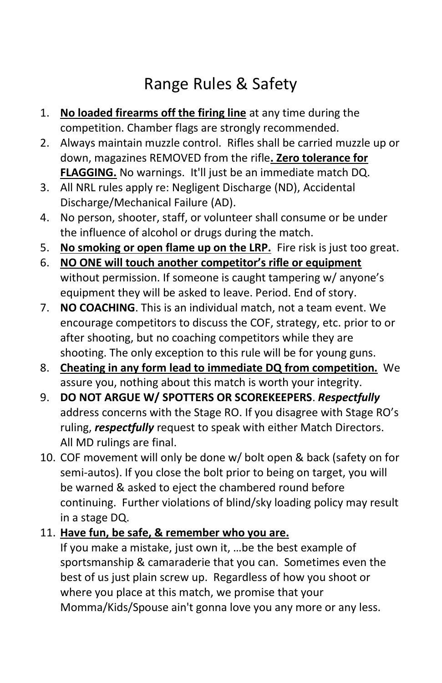# Range Rules & Safety

- 1. **No loaded firearms off the firing line** at any time during the competition. Chamber flags are strongly recommended.
- 2. Always maintain muzzle control. Rifles shall be carried muzzle up or down, magazines REMOVED from the rifle**. Zero tolerance for FLAGGING.** No warnings. It'll just be an immediate match DQ.
- 3. All NRL rules apply re: Negligent Discharge (ND), Accidental Discharge/Mechanical Failure (AD).
- 4. No person, shooter, staff, or volunteer shall consume or be under the influence of alcohol or drugs during the match.
- 5. **No smoking or open flame up on the LRP.** Fire risk is just too great.
- 6. **NO ONE will touch another competitor's rifle or equipment** without permission. If someone is caught tampering w/ anyone's equipment they will be asked to leave. Period. End of story.
- 7. **NO COACHING**. This is an individual match, not a team event. We encourage competitors to discuss the COF, strategy, etc. prior to or after shooting, but no coaching competitors while they are shooting. The only exception to this rule will be for young guns.
- 8. **Cheating in any form lead to immediate DQ from competition.** We assure you, nothing about this match is worth your integrity.
- 9. **DO NOT ARGUE W/ SPOTTERS OR SCOREKEEPERS**. *Respectfully* address concerns with the Stage RO. If you disagree with Stage RO's ruling, *respectfully* request to speak with either Match Directors. All MD rulings are final.
- 10. COF movement will only be done w/ bolt open & back (safety on for semi-autos). If you close the bolt prior to being on target, you will be warned & asked to eject the chambered round before continuing. Further violations of blind/sky loading policy may result in a stage DQ.
- 11. **Have fun, be safe, & remember who you are.**

If you make a mistake, just own it, …be the best example of sportsmanship & camaraderie that you can. Sometimes even the best of us just plain screw up. Regardless of how you shoot or where you place at this match, we promise that your Momma/Kids/Spouse ain't gonna love you any more or any less.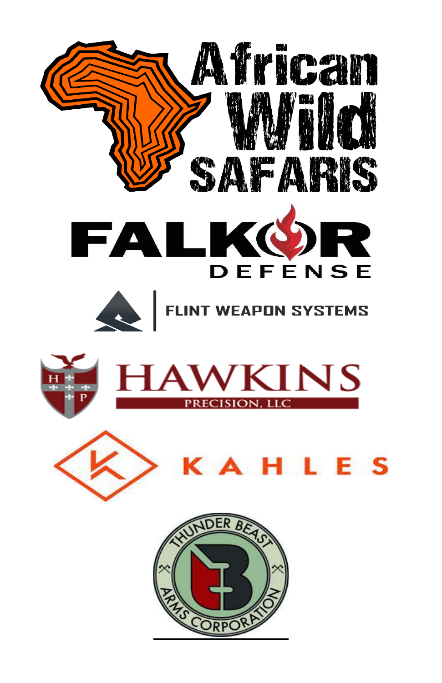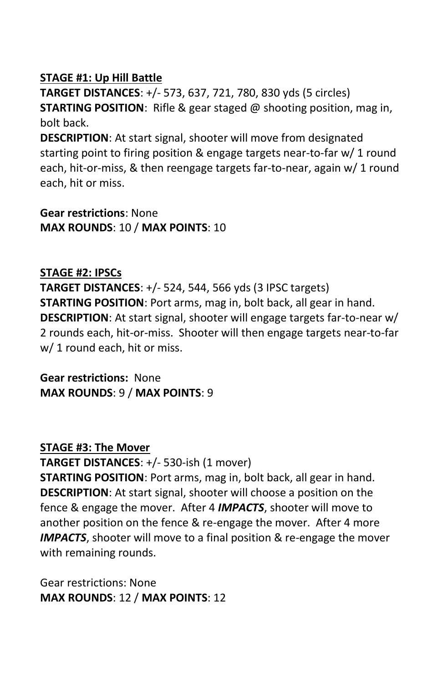#### **STAGE #1: Up Hill Battle**

**TARGET DISTANCES**: +/- 573, 637, 721, 780, 830 yds (5 circles) **STARTING POSITION**: Rifle & gear staged @ shooting position, mag in, bolt back.

**DESCRIPTION**: At start signal, shooter will move from designated starting point to firing position & engage targets near-to-far w/ 1 round each, hit-or-miss, & then reengage targets far-to-near, again w/ 1 round each, hit or miss.

**Gear restrictions**: None **MAX ROUNDS**: 10 / **MAX POINTS**: 10

#### **STAGE #2: IPSCs**

**TARGET DISTANCES**: +/- 524, 544, 566 yds (3 IPSC targets) **STARTING POSITION**: Port arms, mag in, bolt back, all gear in hand. **DESCRIPTION**: At start signal, shooter will engage targets far-to-near w/ 2 rounds each, hit-or-miss. Shooter will then engage targets near-to-far w/ 1 round each, hit or miss.

**Gear restrictions:** None **MAX ROUNDS**: 9 / **MAX POINTS**: 9

#### **STAGE #3: The Mover**

**TARGET DISTANCES**: +/- 530-ish (1 mover)

**STARTING POSITION**: Port arms, mag in, bolt back, all gear in hand. **DESCRIPTION**: At start signal, shooter will choose a position on the fence & engage the mover. After 4 *IMPACTS*, shooter will move to another position on the fence & re-engage the mover. After 4 more *IMPACTS*, shooter will move to a final position & re-engage the mover with remaining rounds.

Gear restrictions: None **MAX ROUNDS**: 12 / **MAX POINTS**: 12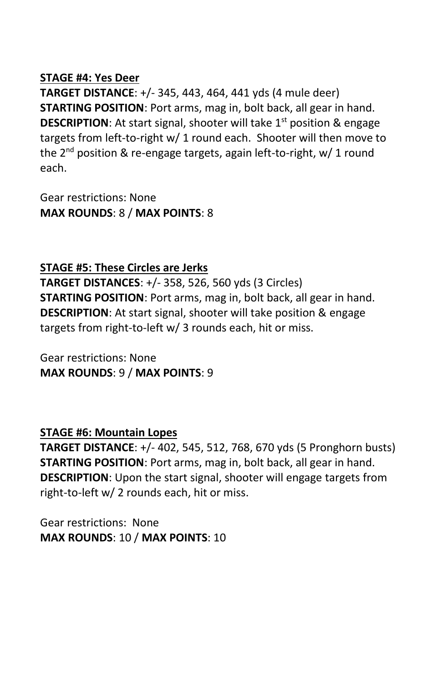#### **STAGE #4: Yes Deer**

**TARGET DISTANCE**: +/- 345, 443, 464, 441 yds (4 mule deer) **STARTING POSITION**: Port arms, mag in, bolt back, all gear in hand. **DESCRIPTION:** At start signal, shooter will take 1<sup>st</sup> position & engage targets from left-to-right w/ 1 round each. Shooter will then move to the 2<sup>nd</sup> position & re-engage targets, again left-to-right, w/ 1 round each.

Gear restrictions: None **MAX ROUNDS**: 8 / **MAX POINTS**: 8

#### **STAGE #5: These Circles are Jerks**

**TARGET DISTANCES**: +/- 358, 526, 560 yds (3 Circles) **STARTING POSITION**: Port arms, mag in, bolt back, all gear in hand. **DESCRIPTION**: At start signal, shooter will take position & engage targets from right-to-left w/ 3 rounds each, hit or miss.

Gear restrictions: None **MAX ROUNDS**: 9 / **MAX POINTS**: 9

#### **STAGE #6: Mountain Lopes**

**TARGET DISTANCE**: +/- 402, 545, 512, 768, 670 yds (5 Pronghorn busts) **STARTING POSITION**: Port arms, mag in, bolt back, all gear in hand. **DESCRIPTION**: Upon the start signal, shooter will engage targets from right-to-left w/ 2 rounds each, hit or miss.

Gear restrictions: None **MAX ROUNDS**: 10 / **MAX POINTS**: 10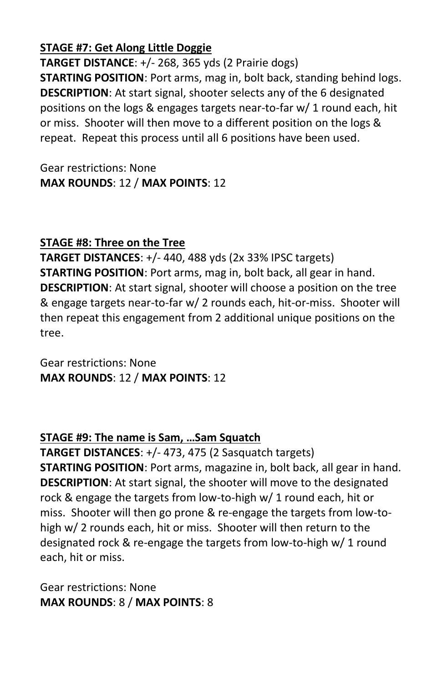#### **STAGE #7: Get Along Little Doggie**

**TARGET DISTANCE**: +/- 268, 365 yds (2 Prairie dogs) **STARTING POSITION**: Port arms, mag in, bolt back, standing behind logs. **DESCRIPTION**: At start signal, shooter selects any of the 6 designated positions on the logs & engages targets near-to-far w/ 1 round each, hit or miss. Shooter will then move to a different position on the logs & repeat. Repeat this process until all 6 positions have been used.

Gear restrictions: None **MAX ROUNDS**: 12 / **MAX POINTS**: 12

### **STAGE #8: Three on the Tree**

**TARGET DISTANCES**: +/- 440, 488 yds (2x 33% IPSC targets) **STARTING POSITION**: Port arms, mag in, bolt back, all gear in hand. **DESCRIPTION**: At start signal, shooter will choose a position on the tree & engage targets near-to-far w/ 2 rounds each, hit-or-miss. Shooter will then repeat this engagement from 2 additional unique positions on the tree.

Gear restrictions: None **MAX ROUNDS**: 12 / **MAX POINTS**: 12

#### **STAGE #9: The name is Sam, …Sam Squatch**

**TARGET DISTANCES**: +/- 473, 475 (2 Sasquatch targets) **STARTING POSITION**: Port arms, magazine in, bolt back, all gear in hand. **DESCRIPTION**: At start signal, the shooter will move to the designated rock & engage the targets from low-to-high w/ 1 round each, hit or miss. Shooter will then go prone & re-engage the targets from low-tohigh w/ 2 rounds each, hit or miss. Shooter will then return to the designated rock & re-engage the targets from low-to-high w/ 1 round each, hit or miss.

Gear restrictions: None **MAX ROUNDS**: 8 / **MAX POINTS**: 8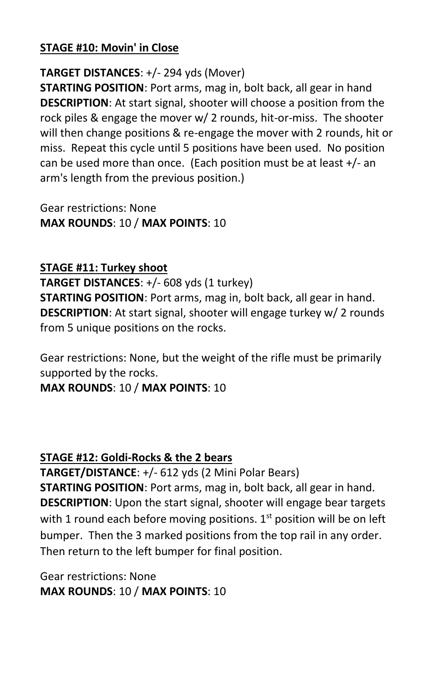#### **STAGE #10: Movin' in Close**

### **TARGET DISTANCES**: +/- 294 yds (Mover)

**STARTING POSITION**: Port arms, mag in, bolt back, all gear in hand **DESCRIPTION**: At start signal, shooter will choose a position from the rock piles & engage the mover w/ 2 rounds, hit-or-miss. The shooter will then change positions & re-engage the mover with 2 rounds, hit or miss. Repeat this cycle until 5 positions have been used. No position can be used more than once. (Each position must be at least +/- an arm's length from the previous position.)

Gear restrictions: None **MAX ROUNDS**: 10 / **MAX POINTS**: 10

#### **STAGE #11: Turkey shoot**

**TARGET DISTANCES**: +/- 608 yds (1 turkey)

**STARTING POSITION**: Port arms, mag in, bolt back, all gear in hand. **DESCRIPTION**: At start signal, shooter will engage turkey w/ 2 rounds from 5 unique positions on the rocks.

Gear restrictions: None, but the weight of the rifle must be primarily supported by the rocks.

**MAX ROUNDS**: 10 / **MAX POINTS**: 10

#### **STAGE #12: Goldi-Rocks & the 2 bears**

**TARGET/DISTANCE**: +/- 612 yds (2 Mini Polar Bears) **STARTING POSITION**: Port arms, mag in, bolt back, all gear in hand. **DESCRIPTION**: Upon the start signal, shooter will engage bear targets with 1 round each before moving positions.  $1<sup>st</sup>$  position will be on left bumper. Then the 3 marked positions from the top rail in any order. Then return to the left bumper for final position.

Gear restrictions: None **MAX ROUNDS**: 10 / **MAX POINTS**: 10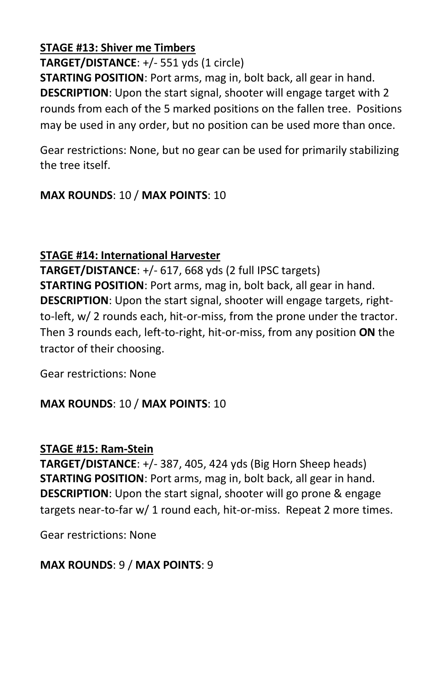#### **STAGE #13: Shiver me Timbers**

**TARGET/DISTANCE**: +/- 551 yds (1 circle)

**STARTING POSITION**: Port arms, mag in, bolt back, all gear in hand. **DESCRIPTION**: Upon the start signal, shooter will engage target with 2 rounds from each of the 5 marked positions on the fallen tree. Positions may be used in any order, but no position can be used more than once.

Gear restrictions: None, but no gear can be used for primarily stabilizing the tree itself.

# **MAX ROUNDS**: 10 / **MAX POINTS**: 10

### **STAGE #14: International Harvester**

**TARGET/DISTANCE**: +/- 617, 668 yds (2 full IPSC targets) **STARTING POSITION**: Port arms, mag in, bolt back, all gear in hand. **DESCRIPTION**: Upon the start signal, shooter will engage targets, rightto-left, w/ 2 rounds each, hit-or-miss, from the prone under the tractor. Then 3 rounds each, left-to-right, hit-or-miss, from any position **ON** the tractor of their choosing.

Gear restrictions: None

# **MAX ROUNDS**: 10 / **MAX POINTS**: 10

#### **STAGE #15: Ram-Stein**

**TARGET/DISTANCE**: +/- 387, 405, 424 yds (Big Horn Sheep heads) **STARTING POSITION**: Port arms, mag in, bolt back, all gear in hand. **DESCRIPTION**: Upon the start signal, shooter will go prone & engage targets near-to-far w/ 1 round each, hit-or-miss. Repeat 2 more times.

Gear restrictions: None

# **MAX ROUNDS**: 9 / **MAX POINTS**: 9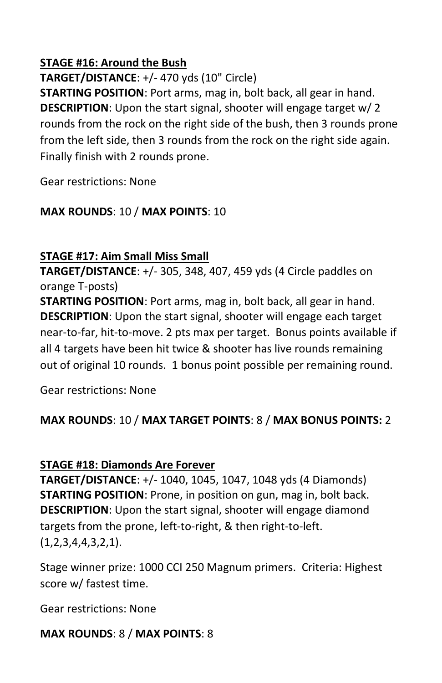#### **STAGE #16: Around the Bush**

**TARGET/DISTANCE**: +/- 470 yds (10" Circle)

**STARTING POSITION**: Port arms, mag in, bolt back, all gear in hand. **DESCRIPTION**: Upon the start signal, shooter will engage target w/ 2 rounds from the rock on the right side of the bush, then 3 rounds prone from the left side, then 3 rounds from the rock on the right side again. Finally finish with 2 rounds prone.

Gear restrictions: None

# **MAX ROUNDS**: 10 / **MAX POINTS**: 10

# **STAGE #17: Aim Small Miss Small**

**TARGET/DISTANCE**: +/- 305, 348, 407, 459 yds (4 Circle paddles on orange T-posts)

**STARTING POSITION**: Port arms, mag in, bolt back, all gear in hand. **DESCRIPTION**: Upon the start signal, shooter will engage each target near-to-far, hit-to-move. 2 pts max per target. Bonus points available if all 4 targets have been hit twice & shooter has live rounds remaining out of original 10 rounds. 1 bonus point possible per remaining round.

Gear restrictions: None

# **MAX ROUNDS**: 10 / **MAX TARGET POINTS**: 8 / **MAX BONUS POINTS:** 2

# **STAGE #18: Diamonds Are Forever**

**TARGET/DISTANCE**: +/- 1040, 1045, 1047, 1048 yds (4 Diamonds) **STARTING POSITION**: Prone, in position on gun, mag in, bolt back. **DESCRIPTION**: Upon the start signal, shooter will engage diamond targets from the prone, left-to-right, & then right-to-left.  $(1,2,3,4,4,3,2,1)$ .

Stage winner prize: 1000 CCI 250 Magnum primers. Criteria: Highest score w/ fastest time.

Gear restrictions: None

**MAX ROUNDS**: 8 / **MAX POINTS**: 8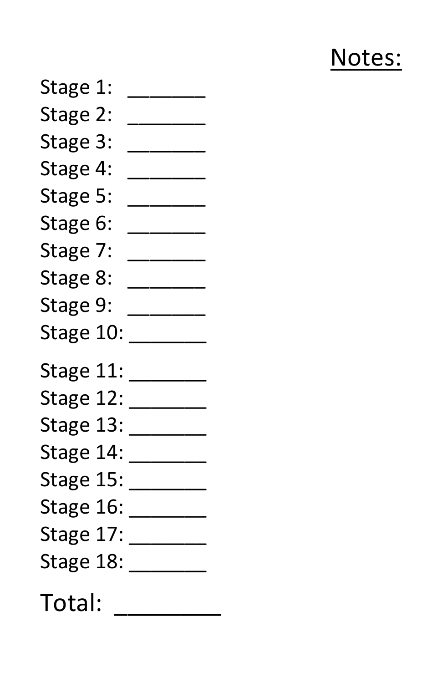# Notes:

Stage 1: Stage 2: \_\_\_\_\_\_\_ Stage 3: \_\_\_\_\_\_\_\_ Stage 4: \_\_\_\_\_\_\_\_ Stage 5: \_\_\_\_\_\_\_\_ Stage 6: \_\_\_\_\_\_\_ Stage 7: \_\_\_\_\_\_\_\_ Stage 8: \_\_\_\_\_\_\_ Stage 9: \_\_\_\_\_\_\_\_ Stage 10: \_\_\_\_\_\_\_\_ Stage 11: \_\_\_\_\_\_\_\_ Stage 12: \_\_\_\_\_\_\_\_ Stage 13: \_\_\_\_\_\_\_\_ Stage 14: \_\_\_\_\_\_\_\_ Stage 15: \_\_\_\_\_\_\_\_\_ Stage 16: \_\_\_\_\_\_\_\_ Stage 17: \_\_\_\_\_\_\_\_ Stage 18: \_\_\_\_\_\_\_\_ Total: